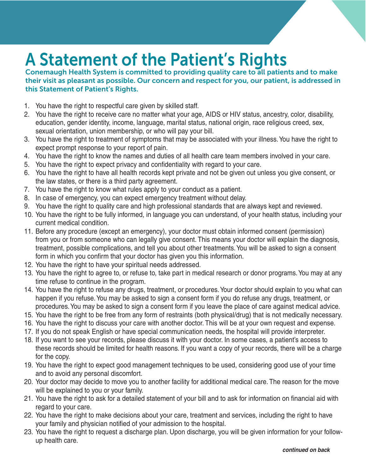## A Statement of the Patient's Rights

Conemaugh Health System is committed to providing quality care to all patients and to make their visit as pleasant as possible. Our concern and respect for you, our patient, is addressed in this Statement of Patient's Rights.

- 1. You have the right to respectful care given by skilled staff.
- 2. You have the right to receive care no matter what your age, AIDS or HIV status, ancestry, color, disability, education, gender identity, income, language, marital status, national origin, race religious creed, sex, sexual orientation, union membership, or who will pay your bill.
- 3. You have the right to treatment of symptoms that may be associated with your illness. You have the right to expect prompt response to your report of pain.
- 4. You have the right to know the names and duties of all health care team members involved in your care.
- 5. You have the right to expect privacy and confidentiality with regard to your care.
- 6. You have the right to have all health records kept private and not be given out unless you give consent, or the law states, or there is a third party agreement.
- 7. You have the right to know what rules apply to your conduct as a patient.
- 8. In case of emergency, you can expect emergency treatment without delay.
- 9. You have the right to quality care and high professional standards that are always kept and reviewed.
- 10. You have the right to be fully informed, in language you can understand, of your health status, including your current medical condition.
- 11. Before any procedure (except an emergency), your doctor must obtain informed consent (permission) from you or from someone who can legally give consent. This means your doctor will explain the diagnosis, treatment, possible complications, and tell you about other treatments. You will be asked to sign a consent form in which you confirm that your doctor has given you this information.
- 12. You have the right to have your spiritual needs addressed.
- 13. You have the right to agree to, or refuse to, take part in medical research or donor programs. You may at any time refuse to continue in the program.
- 14. You have the right to refuse any drugs, treatment, or procedures. Your doctor should explain to you what can happen if you refuse. You may be asked to sign a consent form if you do refuse any drugs, treatment, or procedures. You may be asked to sign a consent form if you leave the place of care against medical advice.
- 15. You have the right to be free from any form of restraints (both physical/drug) that is not medically necessary.
- 16. You have the right to discuss your care with another doctor. This will be at your own request and expense.
- 17. If you do not speak English or have special communication needs, the hospital will provide interpreter.
- 18. If you want to see your records, please discuss it with your doctor. In some cases, a patient's access to these records should be limited for health reasons. If you want a copy of your records, there will be a charge for the copy.
- 19. You have the right to expect good management techniques to be used, considering good use of your time and to avoid any personal discomfort.
- 20. Your doctor may decide to move you to another facility for additional medical care. The reason for the move will be explained to you or your family.
- 21. You have the right to ask for a detailed statement of your bill and to ask for information on financial aid with regard to your care.
- 22. You have the right to make decisions about your care, treatment and services, including the right to have your family and physician notified of your admission to the hospital.
- 23. You have the right to request a discharge plan. Upon discharge, you will be given information for your followup health care.